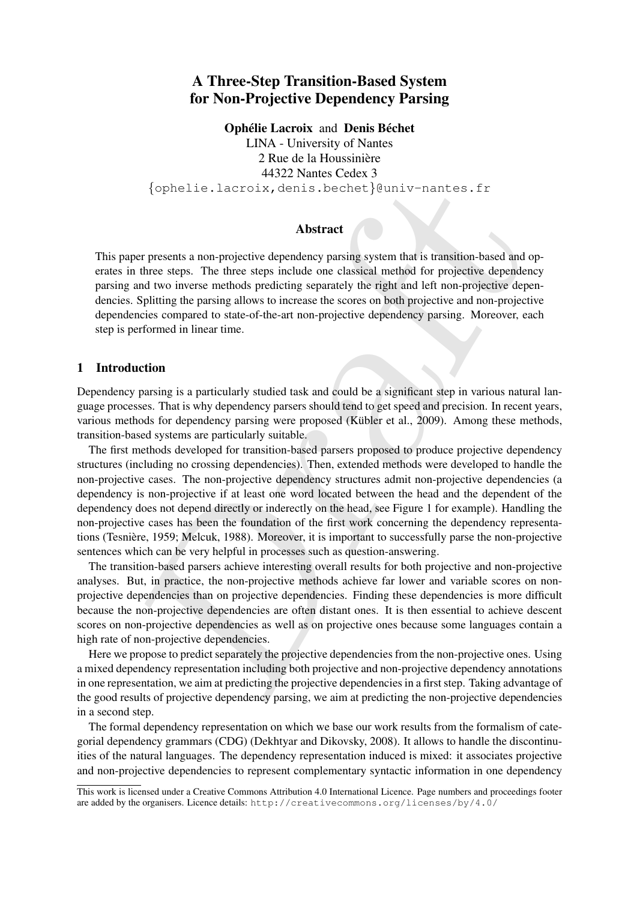# A Three-Step Transition-Based System for Non-Projective Dependency Parsing

Ophélie Lacroix and Denis Béchet

LINA - University of Nantes 2 Rue de la Houssinière 44322 Nantes Cedex 3 {ophelie.lacroix,denis.bechet}@univ-nantes.fr

# Abstract

This paper presents a non-projective dependency parsing system that is transition-based and operates in three steps. The three steps include one classical method for projective dependency parsing and two inverse methods predicting separately the right and left non-projective dependencies. Splitting the parsing allows to increase the scores on both projective and non-projective dependencies compared to state-of-the-art non-projective dependency parsing. Moreover, each step is performed in linear time.

# 1 Introduction

Dependency parsing is a particularly studied task and could be a significant step in various natural language processes. That is why dependency parsers should tend to get speed and precision. In recent years, various methods for dependency parsing were proposed (Kübler et al., 2009). Among these methods, transition-based systems are particularly suitable.

{ ophellie,  $l$  actroix, denis, becaust  $l$  surfaces for  $l$  and  $l$  and  $l$  and  $l$  and  $l$  and  $l$  and  $l$  and  $l$  and  $l$  and  $l$  and  $l$  and  $l$  and  $l$  and  $l$  and  $l$  and  $l$  and  $l$  and  $l$  and  $l$  and  $l$  and  $l$  The first methods developed for transition-based parsers proposed to produce projective dependency structures (including no crossing dependencies). Then, extended methods were developed to handle the non-projective cases. The non-projective dependency structures admit non-projective dependencies (a dependency is non-projective if at least one word located between the head and the dependent of the dependency does not depend directly or inderectly on the head, see Figure 1 for example). Handling the non-projective cases has been the foundation of the first work concerning the dependency representations (Tesniere, 1959; Melcuk, 1988). Moreover, it is important to successfully parse the non-projective ` sentences which can be very helpful in processes such as question-answering.

The transition-based parsers achieve interesting overall results for both projective and non-projective analyses. But, in practice, the non-projective methods achieve far lower and variable scores on nonprojective dependencies than on projective dependencies. Finding these dependencies is more difficult because the non-projective dependencies are often distant ones. It is then essential to achieve descent scores on non-projective dependencies as well as on projective ones because some languages contain a high rate of non-projective dependencies.

Here we propose to predict separately the projective dependencies from the non-projective ones. Using a mixed dependency representation including both projective and non-projective dependency annotations in one representation, we aim at predicting the projective dependencies in a first step. Taking advantage of the good results of projective dependency parsing, we aim at predicting the non-projective dependencies in a second step.

The formal dependency representation on which we base our work results from the formalism of categorial dependency grammars (CDG) (Dekhtyar and Dikovsky, 2008). It allows to handle the discontinuities of the natural languages. The dependency representation induced is mixed: it associates projective and non-projective dependencies to represent complementary syntactic information in one dependency

This work is licensed under a Creative Commons Attribution 4.0 International Licence. Page numbers and proceedings footer are added by the organisers. Licence details: http://creativecommons.org/licenses/by/4.0/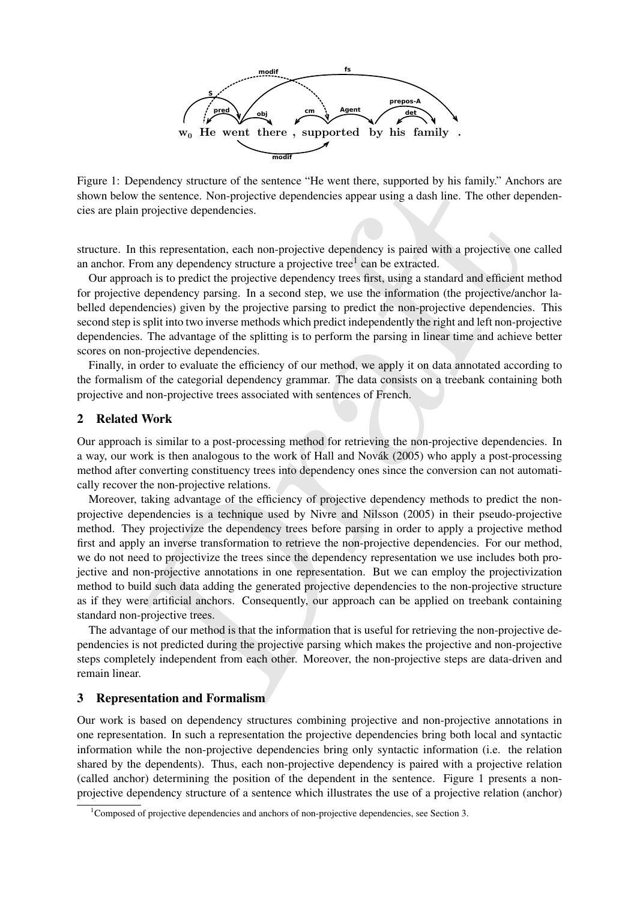

Figure 1: Dependency structure of the sentence "He went there, supported by his family." Anchors are shown below the sentence. Non-projective dependencies appear using a dash line. The other dependencies are plain projective dependencies.

structure. In this representation, each non-projective dependency is paired with a projective one called an anchor. From any dependency structure a projective tree $<sup>1</sup>$  can be extracted.</sup>

Our approach is to predict the projective dependency trees first, using a standard and efficient method for projective dependency parsing. In a second step, we use the information (the projective/anchor labelled dependencies) given by the projective parsing to predict the non-projective dependencies. This second step is split into two inverse methods which predict independently the right and left non-projective dependencies. The advantage of the splitting is to perform the parsing in linear time and achieve better scores on non-projective dependencies.

Finally, in order to evaluate the efficiency of our method, we apply it on data annotated according to the formalism of the categorial dependency grammar. The data consists on a treebank containing both projective and non-projective trees associated with sentences of French.

# 2 Related Work

Our approach is similar to a post-processing method for retrieving the non-projective dependencies. In a way, our work is then analogous to the work of Hall and Novák (2005) who apply a post-processing method after converting constituency trees into dependency ones since the conversion can not automatically recover the non-projective relations.

ependency structure of the sentence "He went there, supported by his family." Anchords went the sentence. Non-projective dependencies appear using a dash line. The other dependencies, in projective dependencies, this repre Moreover, taking advantage of the efficiency of projective dependency methods to predict the nonprojective dependencies is a technique used by Nivre and Nilsson (2005) in their pseudo-projective method. They projectivize the dependency trees before parsing in order to apply a projective method first and apply an inverse transformation to retrieve the non-projective dependencies. For our method, we do not need to projectivize the trees since the dependency representation we use includes both projective and non-projective annotations in one representation. But we can employ the projectivization method to build such data adding the generated projective dependencies to the non-projective structure as if they were artificial anchors. Consequently, our approach can be applied on treebank containing standard non-projective trees.

The advantage of our method is that the information that is useful for retrieving the non-projective dependencies is not predicted during the projective parsing which makes the projective and non-projective steps completely independent from each other. Moreover, the non-projective steps are data-driven and remain linear.

# 3 Representation and Formalism

Our work is based on dependency structures combining projective and non-projective annotations in one representation. In such a representation the projective dependencies bring both local and syntactic information while the non-projective dependencies bring only syntactic information (i.e. the relation shared by the dependents). Thus, each non-projective dependency is paired with a projective relation (called anchor) determining the position of the dependent in the sentence. Figure 1 presents a nonprojective dependency structure of a sentence which illustrates the use of a projective relation (anchor)

<sup>&</sup>lt;sup>1</sup>Composed of projective dependencies and anchors of non-projective dependencies, see Section 3.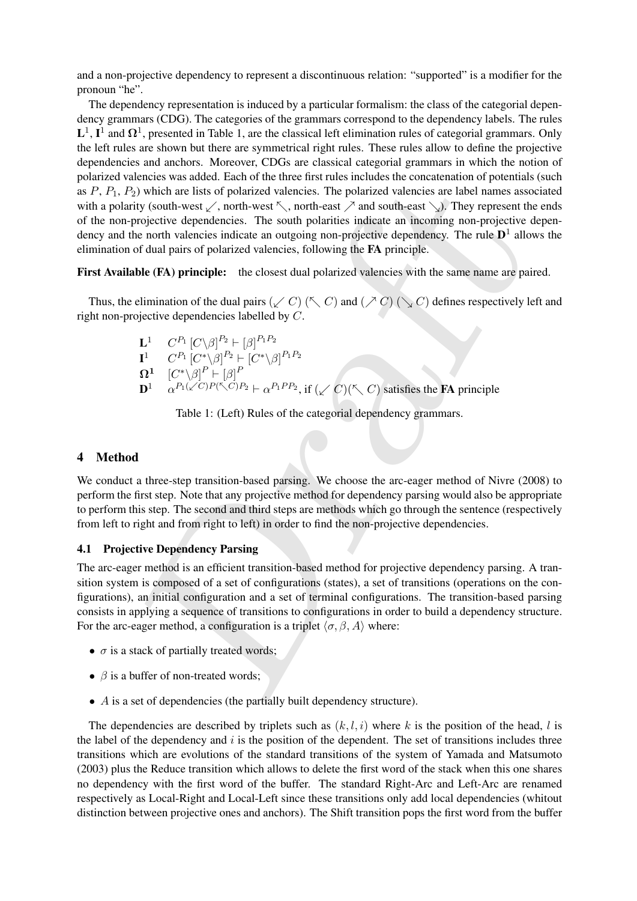and a non-projective dependency to represent a discontinuous relation: "supported" is a modifier for the pronoun "he".

noncesion with matter. The bottom of the disk of polarized valencies, the polarized valencies are label names assety<br>(i) which are lists of polarized valencies. The polarized valencies are label names assety<br>poietive depe The dependency representation is induced by a particular formalism: the class of the categorial dependency grammars (CDG). The categories of the grammars correspond to the dependency labels. The rules  $L^1$ ,  $I^1$  and  $\Omega^1$ , presented in Table 1, are the classical left elimination rules of categorial grammars. Only the left rules are shown but there are symmetrical right rules. These rules allow to define the projective dependencies and anchors. Moreover, CDGs are classical categorial grammars in which the notion of polarized valencies was added. Each of the three first rules includes the concatenation of potentials (such as  $P, P_1, P_2$ ) which are lists of polarized valencies. The polarized valencies are label names associated with a polarity (south-west  $\swarrow$ , north-west  $\nwarrow$ , north-east  $\nearrow$  and south-east  $\searrow$ ). They represent the ends of the non-projective dependencies. The south polarities indicate an incoming non-projective dependency and the north valencies indicate an outgoing non-projective dependency. The rule  $D<sup>1</sup>$  allows the elimination of dual pairs of polarized valencies, following the FA principle.

First Available (FA) principle: the closest dual polarized valencies with the same name are paired.

Thus, the elimination of the dual pairs  $(\swarrow C)$  ( $\nwarrow C$ ) and  $(\nearrow C)$  ( $\searrow C$ ) defines respectively left and right non-projective dependencies labelled by C.

$$
\begin{array}{ll}\n\mathbf{L}^1 & C^{P_1} \left[ C \backslash \beta \right]^{P_2} \vdash \left[ \beta \right]^{P_1 P_2} \\
\mathbf{I}^1 & C^{P_1} \left[ C^* \backslash \beta \right]^{P_2} \vdash \left[ C^* \backslash \beta \right]^{P_1 P_2} \\
\mathbf{\Omega}^1 & \left[ C^* \backslash \beta \right]^{P} \vdash \left[ \beta \right]^{P} \\
\mathbf{D}^1 & \alpha^{P_1(\swarrow C)P(\nwarrow C)P_2} \vdash \alpha^{P_1 P P_2}, \text{if } (\swarrow C) (\nwarrow C) \text{ satisfies the FA principle}\n\end{array}
$$

Table 1: (Left) Rules of the categorial dependency grammars.

# 4 Method

We conduct a three-step transition-based parsing. We choose the arc-eager method of Nivre (2008) to perform the first step. Note that any projective method for dependency parsing would also be appropriate to perform this step. The second and third steps are methods which go through the sentence (respectively from left to right and from right to left) in order to find the non-projective dependencies.

#### 4.1 Projective Dependency Parsing

The arc-eager method is an efficient transition-based method for projective dependency parsing. A transition system is composed of a set of configurations (states), a set of transitions (operations on the configurations), an initial configuration and a set of terminal configurations. The transition-based parsing consists in applying a sequence of transitions to configurations in order to build a dependency structure. For the arc-eager method, a configuration is a triplet  $\langle \sigma, \beta, A \rangle$  where:

- $\sigma$  is a stack of partially treated words;
- $\beta$  is a buffer of non-treated words;
- A is a set of dependencies (the partially built dependency structure).

The dependencies are described by triplets such as  $(k, l, i)$  where k is the position of the head, l is the label of the dependency and  $i$  is the position of the dependent. The set of transitions includes three transitions which are evolutions of the standard transitions of the system of Yamada and Matsumoto (2003) plus the Reduce transition which allows to delete the first word of the stack when this one shares no dependency with the first word of the buffer. The standard Right-Arc and Left-Arc are renamed respectively as Local-Right and Local-Left since these transitions only add local dependencies (whitout distinction between projective ones and anchors). The Shift transition pops the first word from the buffer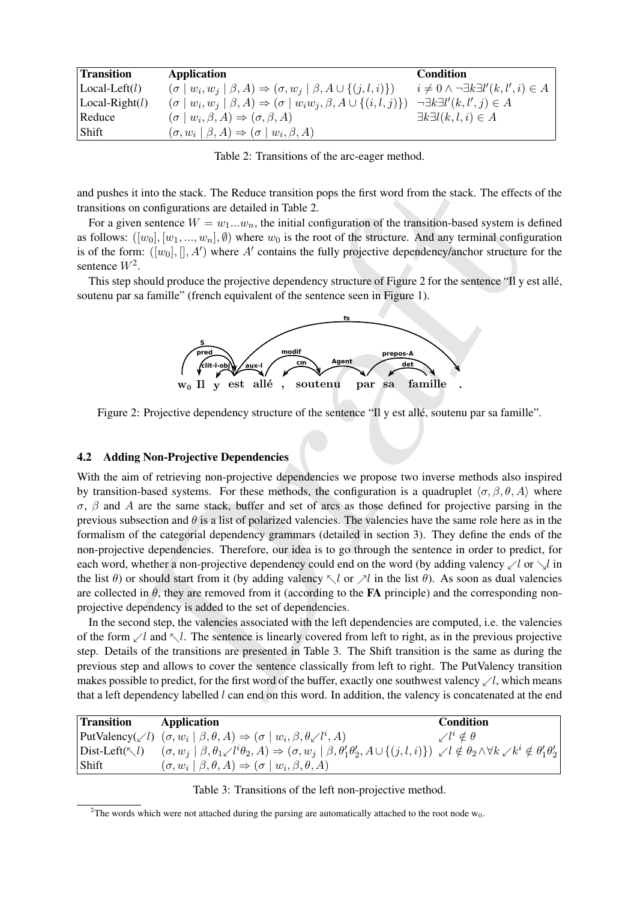| <b>Transition</b>       | Application                                                                                  | Condition                                                   |
|-------------------------|----------------------------------------------------------------------------------------------|-------------------------------------------------------------|
| $\text{Local-Left}(l)$  | $(\sigma   w_i, w_j   \beta, A) \Rightarrow (\sigma, w_j   \beta, A \cup \{(j, l, i)\})$     | $i \neq 0 \wedge \neg \exists k \exists l'(k, l', i) \in A$ |
| $\text{Local-Right}(l)$ | $(\sigma   w_i, w_j   \beta, A) \Rightarrow (\sigma   w_i w_j, \beta, A \cup \{(i, l, j)\})$ | $\neg \exists k \exists l'(k, l', j) \in A$                 |
| Reduce                  | $(\sigma   w_i, \beta, A) \Rightarrow (\sigma, \beta, A)$                                    | $\exists k \exists l(k,l,i) \in A$                          |
| ∣ Shift                 | $(\sigma, w_i \mid \beta, A) \Rightarrow (\sigma \mid w_i, \beta, A)$                        |                                                             |

Table 2: Transitions of the arc-eager method.

and pushes it into the stack. The Reduce transition pops the first word from the stack. The effects of the transitions on configurations are detailed in Table 2.

For a given sentence  $W = w_1...w_n$ , the initial configuration of the transition-based system is defined as follows:  $([w_0], [w_1, ..., w_n], \emptyset)$  where  $w_0$  is the root of the structure. And any terminal configuration is of the form:  $([w_0], [[, A'])$  where A' contains the fully projective dependency/anchor structure for the sentence  $W^2$ .

This step should produce the projective dependency structure of Figure 2 for the sentence "Il y est allé, soutenu par sa famille" (french equivalent of the sentence seen in Figure 1).



Figure 2: Projective dependency structure of the sentence "Il y est alle, soutenu par sa famille".

## 4.2 Adding Non-Projective Dependencies

it into the stack. The Reduce transition pops the first word from the stack. The effects<br>on configurations are detailed in Table 2.<br>
in configuration of the transition-based system is can entered with  $w_0$ , the initial c With the aim of retrieving non-projective dependencies we propose two inverse methods also inspired by transition-based systems. For these methods, the configuration is a quadruplet  $\langle \sigma, \beta, \theta, A \rangle$  where σ, β and A are the same stack, buffer and set of arcs as those defined for projective parsing in the previous subsection and  $\theta$  is a list of polarized valencies. The valencies have the same role here as in the formalism of the categorial dependency grammars (detailed in section 3). They define the ends of the non-projective dependencies. Therefore, our idea is to go through the sentence in order to predict, for each word, whether a non-projective dependency could end on the word (by adding valency  $\angle l$  or  $\sqrt{l}$  in the list  $\theta$ ) or should start from it (by adding valency  $\leq l$  or  $\geq l$  in the list  $\theta$ ). As soon as dual valencies are collected in  $\theta$ , they are removed from it (according to the **FA** principle) and the corresponding nonprojective dependency is added to the set of dependencies.

In the second step, the valencies associated with the left dependencies are computed, i.e. the valencies of the form  $\angle l$  and  $\angle l$ . The sentence is linearly covered from left to right, as in the previous projective step. Details of the transitions are presented in Table 3. The Shift transition is the same as during the previous step and allows to cover the sentence classically from left to right. The PutValency transition makes possible to predict, for the first word of the buffer, exactly one southwest valency  $\angle l$ , which means that a left dependency labelled  $l$  can end on this word. In addition, the valency is concatenated at the end

| <b>Transition</b>                | Application                                                                                                                                                                                                                       | <b>Condition</b>                |
|----------------------------------|-----------------------------------------------------------------------------------------------------------------------------------------------------------------------------------------------------------------------------------|---------------------------------|
|                                  | PutValency( $\swarrow l$ ) $(\sigma, w_i   \beta, \theta, A) \Rightarrow (\sigma   w_i, \beta, \theta \swarrow l^i, A)$                                                                                                           | $\mathcal{N}^{i} \notin \theta$ |
| $ \text{Dist-Left}(\nwarrow l) $ | $(\sigma, w_j \mid \beta, \theta_1 \swarrow l^i \theta_2, A) \Rightarrow (\sigma, w_j \mid \beta, \theta'_1 \theta'_2, A \cup \{(j, l, i)\}) \swarrow l \notin \theta_2 \wedge \forall k \swarrow k^i \notin \theta'_1 \theta'_2$ |                                 |
| Shift                            | $(\sigma, w_i \mid \beta, \theta, A) \Rightarrow (\sigma \mid w_i, \beta, \theta, A)$                                                                                                                                             |                                 |

Table 3: Transitions of the left non-projective method.

<sup>&</sup>lt;sup>2</sup>The words which were not attached during the parsing are automatically attached to the root node  $w_0$ .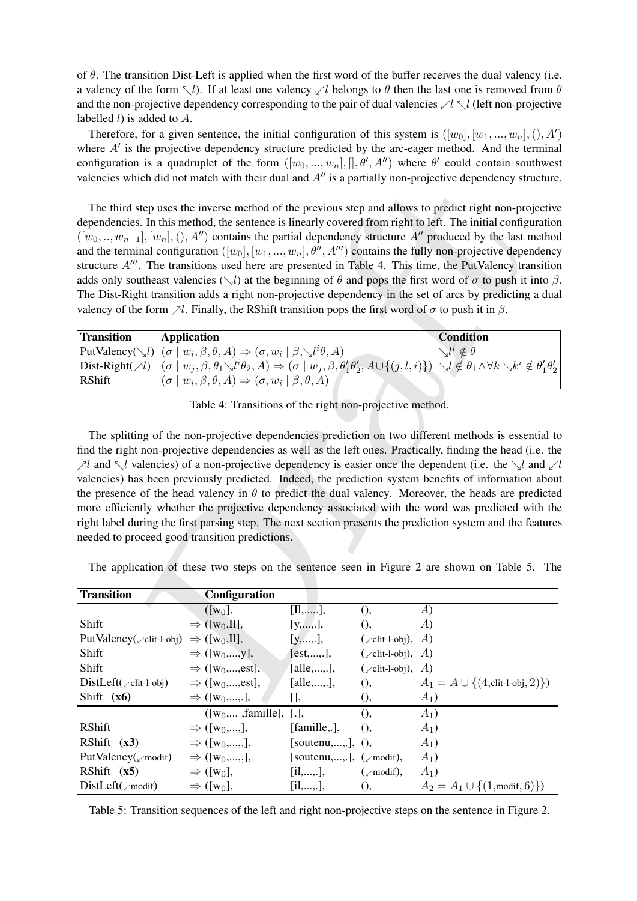of  $\theta$ . The transition Dist-Left is applied when the first word of the buffer receives the dual valency (i.e. a valency of the form  $\nabla l$ ). If at least one valency  $\angle l$  belongs to  $\theta$  then the last one is removed from  $\theta$ and the non-projective dependency corresponding to the pair of dual valencies  $\ell \leq l \leq l$  (left non-projective labelled  $l$ ) is added to  $A$ .

Therefore, for a given sentence, the initial configuration of this system is  $([w_0], [w_1, ..., w_n],(), A')$ where  $A'$  is the projective dependency structure predicted by the arc-eager method. And the terminal configuration is a quadruplet of the form  $([w_0, ..., w_n], []$ ,  $\theta', A'')$  where  $\theta'$  could contain southwest valencies which did not match with their dual and  $A<sup>0</sup>$  is a partially non-projective dependency structure.

| <b>Transition</b> | Application                                                                                                                                                                                                                                                              | <b>Condition</b>              |
|-------------------|--------------------------------------------------------------------------------------------------------------------------------------------------------------------------------------------------------------------------------------------------------------------------|-------------------------------|
|                   | PutValency( $\bigvee l$ ) $(\sigma   w_i, \beta, \theta, A) \Rightarrow (\sigma, w_i   \beta, \bigvee l^i \theta, A)$                                                                                                                                                    | $\setminus l^i \notin \theta$ |
|                   | $\text{Dist-Right}(\mathcal{A}) \quad (\sigma \mid w_j, \beta, \theta_1 \setminus l^i \theta_2, A) \Rightarrow (\sigma \mid w_j, \beta, \theta_1' \theta_2', A \cup \{(j, l, i)\}) \setminus l \notin \theta_1 \land \forall k \setminus k^i \notin \theta_1' \theta_2'$ |                               |
| RShift            | $(\sigma   w_i, \beta, \theta, A) \Rightarrow (\sigma, w_i   \beta, \theta, A)$                                                                                                                                                                                          |                               |

Table 4: Transitions of the right non-projective method.

|                                                                       |                                                                                                                           |                    |                            | valencies which the not materi with their than and $\pi$ is a partially non-projective dependency structure                                                                                                                                                                                                                                                                                                                                                                                                                                                                                                                                                                                                                                                                                                                        |
|-----------------------------------------------------------------------|---------------------------------------------------------------------------------------------------------------------------|--------------------|----------------------------|------------------------------------------------------------------------------------------------------------------------------------------------------------------------------------------------------------------------------------------------------------------------------------------------------------------------------------------------------------------------------------------------------------------------------------------------------------------------------------------------------------------------------------------------------------------------------------------------------------------------------------------------------------------------------------------------------------------------------------------------------------------------------------------------------------------------------------|
|                                                                       | valency of the form $\nearrow l$ . Finally, the RShift transition pops the first word of $\sigma$ to push it in $\beta$ . |                    |                            | The third step uses the inverse method of the previous step and allows to predict right non-projective<br>dependencies. In this method, the sentence is linearly covered from right to left. The initial configuration<br>$([w_0, , w_{n-1}], [w_n], (), A'')$ contains the partial dependency structure A'' produced by the last method<br>and the terminal configuration $([w_0], [w_1, , w_n], \theta'', A''')$ contains the fully non-projective dependency<br>structure $A'''$ . The transitions used here are presented in Table 4. This time, the PutValency transition<br>adds only southeast valencies $(\searrow l)$ at the beginning of $\theta$ and pops the first word of $\sigma$ to push it into $\beta$<br>The Dist-Right transition adds a right non-projective dependency in the set of arcs by predicting a dua |
| <b>Transition</b>                                                     | <b>Application</b>                                                                                                        |                    |                            | <b>Condition</b>                                                                                                                                                                                                                                                                                                                                                                                                                                                                                                                                                                                                                                                                                                                                                                                                                   |
|                                                                       | PutValency( $\bigvee_i$ ) $(\sigma   w_i, \beta, \theta, A) \Rightarrow (\sigma, w_i   \beta, \bigvee_i l^i \theta, A)$   |                    |                            | $\searrow^{l} l \notin \theta$                                                                                                                                                                                                                                                                                                                                                                                                                                                                                                                                                                                                                                                                                                                                                                                                     |
|                                                                       |                                                                                                                           |                    |                            | Dist-Right( $\forall l$ ) $(\sigma   w_j, \beta, \theta_1 \setminus l^i \theta_2, A) \Rightarrow (\sigma   w_j, \beta, \theta_1 \theta_2, A \cup \{(j, l, i)\}) \setminus l \notin \theta_1 \wedge \forall k \setminus k^i \notin \theta_1' \theta_2'$                                                                                                                                                                                                                                                                                                                                                                                                                                                                                                                                                                             |
| <b>RShift</b>                                                         | $(\sigma   w_i, \beta, \theta, A) \Rightarrow (\sigma, w_i   \beta, \theta, A)$                                           |                    |                            |                                                                                                                                                                                                                                                                                                                                                                                                                                                                                                                                                                                                                                                                                                                                                                                                                                    |
|                                                                       | Table 4: Transitions of the right non-projective method.                                                                  |                    |                            |                                                                                                                                                                                                                                                                                                                                                                                                                                                                                                                                                                                                                                                                                                                                                                                                                                    |
|                                                                       |                                                                                                                           |                    |                            |                                                                                                                                                                                                                                                                                                                                                                                                                                                                                                                                                                                                                                                                                                                                                                                                                                    |
|                                                                       |                                                                                                                           |                    |                            | The splitting of the non-projective dependencies prediction on two different methods is essential to<br>find the right non-projective dependencies as well as the left ones. Practically, finding the head (i.e. the                                                                                                                                                                                                                                                                                                                                                                                                                                                                                                                                                                                                               |
|                                                                       |                                                                                                                           |                    |                            | $\mathcal{N}$ and $\mathcal{N}$ valencies) of a non-projective dependency is easier once the dependent (i.e. the $\mathcal{N}$ and $\mathcal{N}$                                                                                                                                                                                                                                                                                                                                                                                                                                                                                                                                                                                                                                                                                   |
|                                                                       |                                                                                                                           |                    |                            | valencies) has been previously predicted. Indeed, the prediction system benefits of information abou                                                                                                                                                                                                                                                                                                                                                                                                                                                                                                                                                                                                                                                                                                                               |
|                                                                       |                                                                                                                           |                    |                            | the presence of the head valency in $\theta$ to predict the dual valency. Moreover, the heads are predicted                                                                                                                                                                                                                                                                                                                                                                                                                                                                                                                                                                                                                                                                                                                        |
|                                                                       |                                                                                                                           |                    |                            | more efficiently whether the projective dependency associated with the word was predicted with the                                                                                                                                                                                                                                                                                                                                                                                                                                                                                                                                                                                                                                                                                                                                 |
|                                                                       |                                                                                                                           |                    |                            | right label during the first parsing step. The next section presents the prediction system and the features                                                                                                                                                                                                                                                                                                                                                                                                                                                                                                                                                                                                                                                                                                                        |
|                                                                       | needed to proceed good transition predictions.                                                                            |                    |                            |                                                                                                                                                                                                                                                                                                                                                                                                                                                                                                                                                                                                                                                                                                                                                                                                                                    |
|                                                                       |                                                                                                                           |                    |                            |                                                                                                                                                                                                                                                                                                                                                                                                                                                                                                                                                                                                                                                                                                                                                                                                                                    |
|                                                                       |                                                                                                                           |                    |                            | The application of these two steps on the sentence seen in Figure 2 are shown on Table 5. The                                                                                                                                                                                                                                                                                                                                                                                                                                                                                                                                                                                                                                                                                                                                      |
| <b>Transition</b>                                                     |                                                                                                                           |                    |                            |                                                                                                                                                                                                                                                                                                                                                                                                                                                                                                                                                                                                                                                                                                                                                                                                                                    |
|                                                                       | Configuration                                                                                                             | [[1,,].]           |                            | A)                                                                                                                                                                                                                                                                                                                                                                                                                                                                                                                                                                                                                                                                                                                                                                                                                                 |
| Shift                                                                 | $([w_0],$<br>$\Rightarrow$ ([w <sub>0</sub> , II],                                                                        | [y,,.]             | (<br>(                     | A)                                                                                                                                                                                                                                                                                                                                                                                                                                                                                                                                                                                                                                                                                                                                                                                                                                 |
| PutValency( $\angle$ clit-l-obj) $\Rightarrow$ ([w <sub>0</sub> ,Il], |                                                                                                                           | $[y, \ldots],$     | $(\angle$ clit-l-obj), A)  |                                                                                                                                                                                                                                                                                                                                                                                                                                                                                                                                                                                                                                                                                                                                                                                                                                    |
| Shift                                                                 | $\Rightarrow$ ([w <sub>0</sub> ,,y],                                                                                      | [est,,.],          | $(\angle$ clit-l-obj), A)  |                                                                                                                                                                                                                                                                                                                                                                                                                                                                                                                                                                                                                                                                                                                                                                                                                                    |
| Shift                                                                 | $\Rightarrow$ ([w <sub>0</sub> ,,est],                                                                                    | [alle, ,],         | $(\angle$ clit-l-obj),     | A)                                                                                                                                                                                                                                                                                                                                                                                                                                                                                                                                                                                                                                                                                                                                                                                                                                 |
| $DistLeft(\mathcal{L}clit-l-obj)$                                     | $\Rightarrow$ ([w <sub>0</sub> ,,est],                                                                                    | [alle, ,],         | 0,                         | $A_1 = A \cup \{(4, \text{clit-I-obj}, 2)\})$                                                                                                                                                                                                                                                                                                                                                                                                                                                                                                                                                                                                                                                                                                                                                                                      |
| Shift $(x6)$                                                          | $\Rightarrow$ ([w <sub>0</sub> ,,.],                                                                                      | [],                | 0,                         | $A_1$                                                                                                                                                                                                                                                                                                                                                                                                                                                                                                                                                                                                                                                                                                                                                                                                                              |
|                                                                       | ([ $w_0,$ , famille], [.],                                                                                                |                    | (                          | $A_1$                                                                                                                                                                                                                                                                                                                                                                                                                                                                                                                                                                                                                                                                                                                                                                                                                              |
| RShift                                                                | $\Rightarrow$ ([w <sub>0</sub> ,,],                                                                                       | [famille,.],       | (                          | $A_1$                                                                                                                                                                                                                                                                                                                                                                                                                                                                                                                                                                                                                                                                                                                                                                                                                              |
| RShift $(x3)$                                                         | $\Rightarrow$ ([w <sub>0</sub> ,,,],                                                                                      | [soutenu,,.],      | (                          | $A_1$                                                                                                                                                                                                                                                                                                                                                                                                                                                                                                                                                                                                                                                                                                                                                                                                                              |
| Put Valency(zmodif)                                                   | $\Rightarrow$ ([w <sub>0</sub> ,,,],                                                                                      | [soutenu,,.],      | $(\swarrow \text{modif}),$ | $A_1$                                                                                                                                                                                                                                                                                                                                                                                                                                                                                                                                                                                                                                                                                                                                                                                                                              |
| RShift $(x5)$                                                         | $\Rightarrow$ ([w <sub>0</sub> ],                                                                                         | $[i1, \ldots, .],$ | $(\swarrow \text{modif}),$ | $A_1$                                                                                                                                                                                                                                                                                                                                                                                                                                                                                                                                                                                                                                                                                                                                                                                                                              |
| DistLeft( <sub>x</sub> modif)                                         | $\Rightarrow$ ([w <sub>0</sub> ],                                                                                         | [i1, ,],           | 0,                         | $A_2 = A_1 \cup \{(1, \text{modif}, 6)\}\$                                                                                                                                                                                                                                                                                                                                                                                                                                                                                                                                                                                                                                                                                                                                                                                         |

Table 5: Transition sequences of the left and right non-projective steps on the sentence in Figure 2.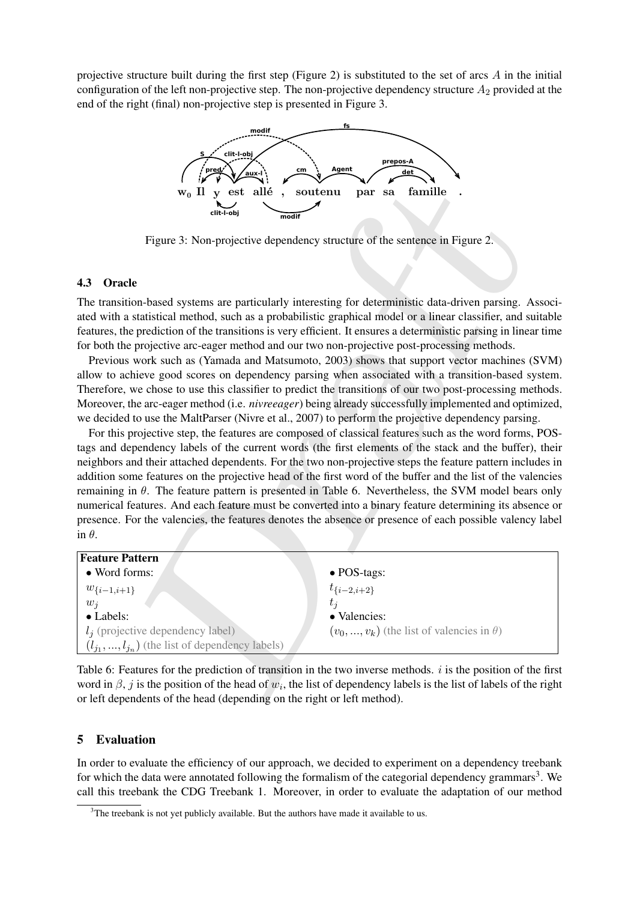projective structure built during the first step (Figure 2) is substituted to the set of arcs  $\vec{A}$  in the initial configuration of the left non-projective step. The non-projective dependency structure  $A_2$  provided at the end of the right (final) non-projective step is presented in Figure 3.



Figure 3: Non-projective dependency structure of the sentence in Figure 2.

# 4.3 Oracle

The transition-based systems are particularly interesting for deterministic data-driven parsing. Associated with a statistical method, such as a probabilistic graphical model or a linear classifier, and suitable features, the prediction of the transitions is very efficient. It ensures a deterministic parsing in linear time for both the projective arc-eager method and our two non-projective post-processing methods.

Previous work such as (Yamada and Matsumoto, 2003) shows that support vector machines (SVM) allow to achieve good scores on dependency parsing when associated with a transition-based system. Therefore, we chose to use this classifier to predict the transitions of our two post-processing methods. Moreover, the arc-eager method (i.e. *nivreeager*) being already successfully implemented and optimized, we decided to use the MaltParser (Nivre et al., 2007) to perform the projective dependency parsing.

**Example 12**<br>
We **T** y est allie **Following the Soutenu par sa Famille .**<br>
Figure 3: Non-projective dependency structure of the sentence in Figure 2.<br>
Figure 3: Non-projective dependency structure of the sentence in Fig For this projective step, the features are composed of classical features such as the word forms, POStags and dependency labels of the current words (the first elements of the stack and the buffer), their neighbors and their attached dependents. For the two non-projective steps the feature pattern includes in addition some features on the projective head of the first word of the buffer and the list of the valencies remaining in  $θ$ . The feature pattern is presented in Table 6. Nevertheless, the SVM model bears only numerical features. And each feature must be converted into a binary feature determining its absence or presence. For the valencies, the features denotes the absence or presence of each possible valency label in  $\theta$ .

| Feature Pattern                                      |                                                     |
|------------------------------------------------------|-----------------------------------------------------|
| • Word forms:                                        | $\bullet$ POS-tags:                                 |
| $w_{\{i-1,i+1\}}$                                    | $t_{\{i-2,i+2\}}$                                   |
| $w_i$                                                | $t_i$                                               |
| • Labels:                                            | • Valencies:                                        |
| $l_i$ (projective dependency label)                  | $(v_0, , v_k)$ (the list of valencies in $\theta$ ) |
| $(l_{i_1},,l_{i_n})$ (the list of dependency labels) |                                                     |

Table 6: Features for the prediction of transition in the two inverse methods. i is the position of the first word in  $\beta$ , j is the position of the head of  $w_i$ , the list of dependency labels is the list of labels of the right or left dependents of the head (depending on the right or left method).

# 5 Evaluation

In order to evaluate the efficiency of our approach, we decided to experiment on a dependency treebank for which the data were annotated following the formalism of the categorial dependency grammars<sup>3</sup>. We call this treebank the CDG Treebank 1. Moreover, in order to evaluate the adaptation of our method

 $3$ The treebank is not yet publicly available. But the authors have made it available to us.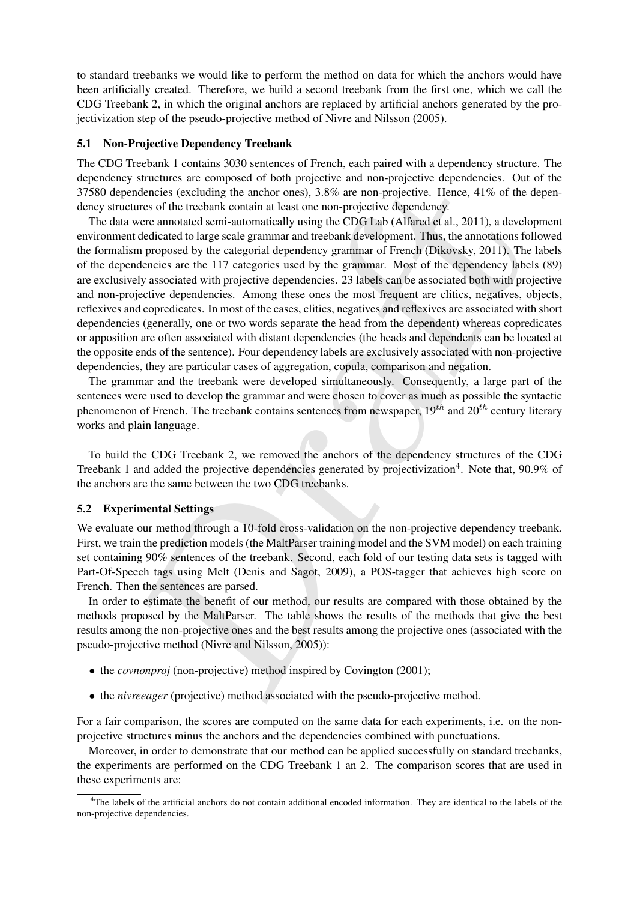to standard treebanks we would like to perform the method on data for which the anchors would have been artificially created. Therefore, we build a second treebank from the first one, which we call the CDG Treebank 2, in which the original anchors are replaced by artificial anchors generated by the projectivization step of the pseudo-projective method of Nivre and Nilsson (2005).

## 5.1 Non-Projective Dependency Treebank

The CDG Treebank 1 contains 3030 sentences of French, each paired with a dependency structure. The dependency structures are composed of both projective and non-projective dependencies. Out of the 37580 dependencies (excluding the anchor ones), 3.8% are non-projective. Hence, 41% of the dependency structures of the treebank contain at least one non-projective dependency.

suctions are composed of outlined means and independent and independent and<br>enteries (excluding the anchor ones), 3.8% are non-projective. Hence, 41% of the trevenk deterated semi-antomatically using the CDGI Lab (Alfrare The data were annotated semi-automatically using the CDG Lab (Alfared et al., 2011), a development environment dedicated to large scale grammar and treebank development. Thus, the annotations followed the formalism proposed by the categorial dependency grammar of French (Dikovsky, 2011). The labels of the dependencies are the 117 categories used by the grammar. Most of the dependency labels (89) are exclusively associated with projective dependencies. 23 labels can be associated both with projective and non-projective dependencies. Among these ones the most frequent are clitics, negatives, objects, reflexives and copredicates. In most of the cases, clitics, negatives and reflexives are associated with short dependencies (generally, one or two words separate the head from the dependent) whereas copredicates or apposition are often associated with distant dependencies (the heads and dependents can be located at the opposite ends of the sentence). Four dependency labels are exclusively associated with non-projective dependencies, they are particular cases of aggregation, copula, comparison and negation.

The grammar and the treebank were developed simultaneously. Consequently, a large part of the sentences were used to develop the grammar and were chosen to cover as much as possible the syntactic phenomenon of French. The treebank contains sentences from newspaper,  $19^{th}$  and  $20^{th}$  century literary works and plain language.

To build the CDG Treebank 2, we removed the anchors of the dependency structures of the CDG Treebank 1 and added the projective dependencies generated by projectivization<sup>4</sup>. Note that, 90.9% of the anchors are the same between the two CDG treebanks.

#### 5.2 Experimental Settings

We evaluate our method through a 10-fold cross-validation on the non-projective dependency treebank. First, we train the prediction models (the MaltParser training model and the SVM model) on each training set containing 90% sentences of the treebank. Second, each fold of our testing data sets is tagged with Part-Of-Speech tags using Melt (Denis and Sagot, 2009), a POS-tagger that achieves high score on French. Then the sentences are parsed.

In order to estimate the benefit of our method, our results are compared with those obtained by the methods proposed by the MaltParser. The table shows the results of the methods that give the best results among the non-projective ones and the best results among the projective ones (associated with the pseudo-projective method (Nivre and Nilsson, 2005)):

- the *covnonproj* (non-projective) method inspired by Covington (2001);
- the *nivreeager* (projective) method associated with the pseudo-projective method.

For a fair comparison, the scores are computed on the same data for each experiments, i.e. on the nonprojective structures minus the anchors and the dependencies combined with punctuations.

Moreover, in order to demonstrate that our method can be applied successfully on standard treebanks, the experiments are performed on the CDG Treebank 1 an 2. The comparison scores that are used in these experiments are:

<sup>&</sup>lt;sup>4</sup>The labels of the artificial anchors do not contain additional encoded information. They are identical to the labels of the non-projective dependencies.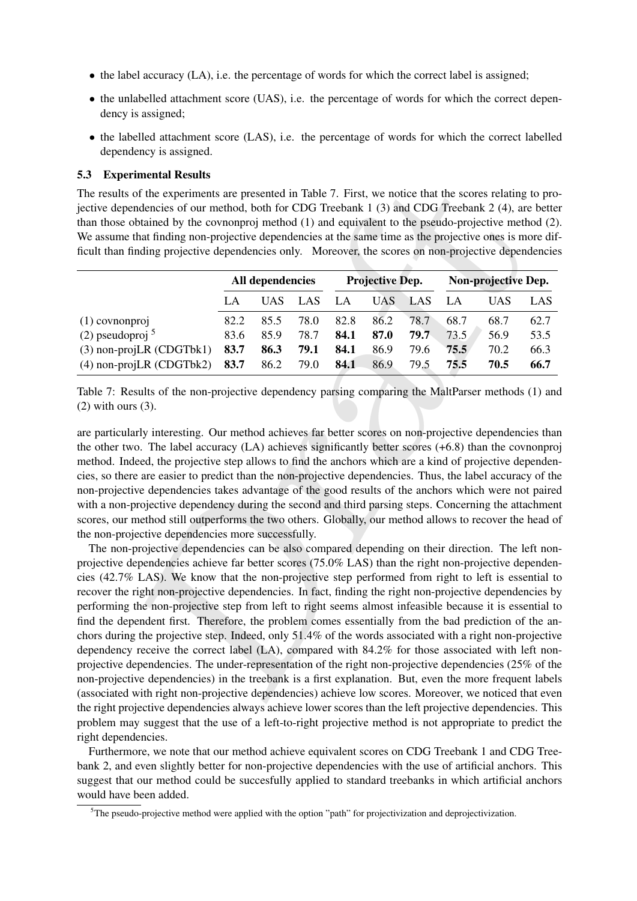- $\bullet$  the label accuracy (LA), i.e. the percentage of words for which the correct label is assigned;
- the unlabelled attachment score (UAS), i.e. the percentage of words for which the correct dependency is assigned;
- the labelled attachment score (LAS), i.e. the percentage of words for which the correct labelled dependency is assigned.

## 5.3 Experimental Results

The results of the experiments are presented in Table 7. First, we notice that the scores relating to projective dependencies of our method, both for CDG Treebank 1 (3) and CDG Treebank 2 (4), are better than those obtained by the covnonproj method (1) and equivalent to the pseudo-projective method (2). We assume that finding non-projective dependencies at the same time as the projective ones is more difficult than finding projective dependencies only. Moreover, the scores on non-projective dependencies

|                               | All dependencies |      | <b>Projective Dep.</b> |      |      | Non-projective Dep. |      |      |      |
|-------------------------------|------------------|------|------------------------|------|------|---------------------|------|------|------|
|                               | LA               | UAS  | <b>LAS</b>             | LA   | UAS. | LAS                 | LA   | UAS. | LAS. |
| $(1)$ covnonproj              | 82.2             | 85.5 | 78.0                   | 82.8 | 86.2 | 78.7                | 68.7 | 68.7 | 62.7 |
| $(2)$ pseudoproj <sup>5</sup> | 83.6             | 85.9 | 78.7                   | 84.1 | 87.0 | 79.7                | 73.5 | 56.9 | 53.5 |
| $(3)$ non-projLR $(CDGTbk1)$  | 83.7             | 86.3 | 79.1                   | 84.1 | 86.9 | 79.6                | 75.5 | 70.2 | 66.3 |
| $(4)$ non-projLR $(CDGTbk2)$  | 83.7             | 86.2 | 79.0                   | 84.1 | 86.9 | 79.5                | 75.5 | 70.5 | 66.7 |

Table 7: Results of the non-projective dependency parsing comparing the MaltParser methods (1) and (2) with ours (3).

are particularly interesting. Our method achieves far better scores on non-projective dependencies than the other two. The label accuracy (LA) achieves significantly better scores (+6.8) than the covnonproj method. Indeed, the projective step allows to find the anchors which are a kind of projective dependencies, so there are easier to predict than the non-projective dependencies. Thus, the label accuracy of the non-projective dependencies takes advantage of the good results of the anchors which were not paired with a non-projective dependency during the second and third parsing steps. Concerning the attachment scores, our method still outperforms the two others. Globally, our method allows to recover the head of the non-projective dependencies more successfully.

of the experiments are presented in Table 7. First, we notice that the scores relating<br>orderincies of our method, both for CDG Trechank 1 (3) and CDG Trechank 2 (4), are<br>obtained by the economproje method (1) and equivale The non-projective dependencies can be also compared depending on their direction. The left nonprojective dependencies achieve far better scores (75.0% LAS) than the right non-projective dependencies (42.7% LAS). We know that the non-projective step performed from right to left is essential to recover the right non-projective dependencies. In fact, finding the right non-projective dependencies by performing the non-projective step from left to right seems almost infeasible because it is essential to find the dependent first. Therefore, the problem comes essentially from the bad prediction of the anchors during the projective step. Indeed, only 51.4% of the words associated with a right non-projective dependency receive the correct label (LA), compared with 84.2% for those associated with left nonprojective dependencies. The under-representation of the right non-projective dependencies (25% of the non-projective dependencies) in the treebank is a first explanation. But, even the more frequent labels (associated with right non-projective dependencies) achieve low scores. Moreover, we noticed that even the right projective dependencies always achieve lower scores than the left projective dependencies. This problem may suggest that the use of a left-to-right projective method is not appropriate to predict the right dependencies.

Furthermore, we note that our method achieve equivalent scores on CDG Treebank 1 and CDG Treebank 2, and even slightly better for non-projective dependencies with the use of artificial anchors. This suggest that our method could be succesfully applied to standard treebanks in which artificial anchors would have been added.

 ${}^{5}$ The pseudo-projective method were applied with the option "path" for projectivization and deprojectivization.